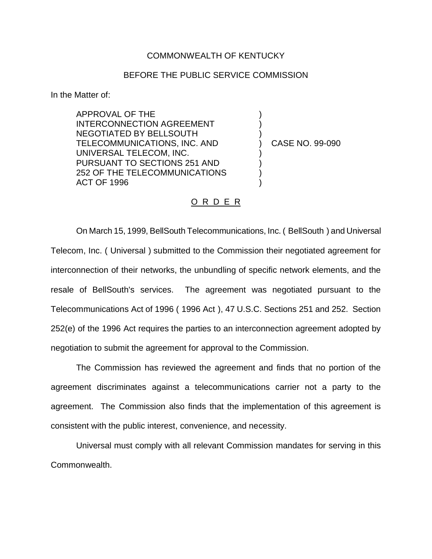## COMMONWEALTH OF KENTUCKY

## BEFORE THE PUBLIC SERVICE COMMISSION

In the Matter of:

APPROVAL OF THE INTERCONNECTION AGREEMENT NEGOTIATED BY BELLSOUTH TELECOMMUNICATIONS, INC. AND UNIVERSAL TELECOM, INC. PURSUANT TO SECTIONS 251 AND 252 OF THE TELECOMMUNICATIONS ACT OF 1996

) CASE NO. 99-090

) ) )

) ) ) )

## O R D E R

On March 15, 1999, BellSouth Telecommunications, Inc. ( BellSouth ) and Universal Telecom, Inc. ( Universal ) submitted to the Commission their negotiated agreement for interconnection of their networks, the unbundling of specific network elements, and the resale of BellSouth's services. The agreement was negotiated pursuant to the Telecommunications Act of 1996 ( 1996 Act ), 47 U.S.C. Sections 251 and 252. Section 252(e) of the 1996 Act requires the parties to an interconnection agreement adopted by negotiation to submit the agreement for approval to the Commission.

The Commission has reviewed the agreement and finds that no portion of the agreement discriminates against a telecommunications carrier not a party to the agreement. The Commission also finds that the implementation of this agreement is consistent with the public interest, convenience, and necessity.

Universal must comply with all relevant Commission mandates for serving in this Commonwealth.